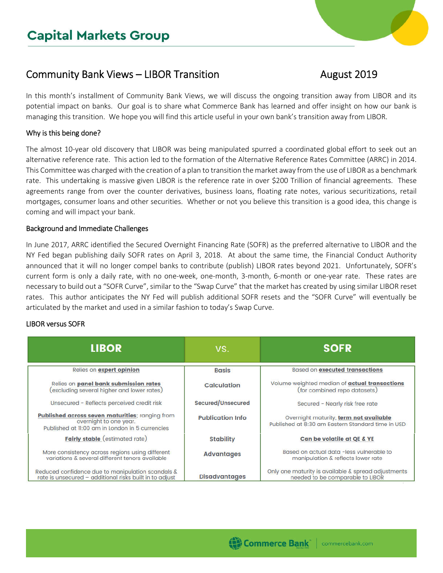# Community Bank Views – LIBOR Transition **August 2019**

In this month's installment of Community Bank Views, we will discuss the ongoing transition away from LIBOR and its potential impact on banks. Our goal is to share what Commerce Bank has learned and offer insight on how our bank is managing this transition. We hope you will find this article useful in your own bank's transition away from LIBOR.

## Why is this being done?

The almost 10-year old discovery that LIBOR was being manipulated spurred a coordinated global effort to seek out an alternative reference rate. This action led to the formation of the Alternative Reference Rates Committee (ARRC) in 2014. This Committee was charged with the creation of a plan to transition the market away from the use of LIBOR as a benchmark rate. This undertaking is massive given LIBOR is the reference rate in over \$200 Trillion of financial agreements. These agreements range from over the counter derivatives, business loans, floating rate notes, various securitizations, retail mortgages, consumer loans and other securities. Whether or not you believe this transition is a good idea, this change is coming and will impact your bank.

### Background and Immediate Challenges

In June 2017, ARRC identified the Secured Overnight Financing Rate (SOFR) as the preferred alternative to LIBOR and the NY Fed began publishing daily SOFR rates on April 3, 2018. At about the same time, the Financial Conduct Authority announced that it will no longer compel banks to contribute (publish) LIBOR rates beyond 2021. Unfortunately, SOFR's current form is only a daily rate, with no one-week, one-month, 3-month, 6-month or one-year rate. These rates are necessary to build out a "SOFR Curve", similar to the "Swap Curve" that the market has created by using similar LIBOR reset rates. This author anticipates the NY Fed will publish additional SOFR resets and the "SOFR Curve" will eventually be articulated by the market and used in a similar fashion to today's Swap Curve.

# LIBOR versus SOFR

| <b>LIBOR</b>                                                                                                                 | VS.                     | <b>SOFR</b>                                                                                 |
|------------------------------------------------------------------------------------------------------------------------------|-------------------------|---------------------------------------------------------------------------------------------|
| Relies on expert opinion                                                                                                     | <b>Basis</b>            | <b>Based on executed transactions</b>                                                       |
| Relies on panel bank submission rates<br>excluding several higher and lower rates)                                           | Calculation             | Volume weighted median of actual transactions<br>(for combined repo datasets)               |
| Unsecured - Reflects perceived credit risk                                                                                   | Secured/Unsecured       | Secured - Nearly risk free rate                                                             |
| Published across seven maturities; ranging from<br>overnight to one year.<br>Published at 11:00 am in London in 5 currencies | <b>Publication Info</b> | Overnight maturity, term not available<br>Published at 8:30 am Eastern Standard time in USD |
| Fairly stable (estimated rate)                                                                                               | <b>Stability</b>        | Can be volatile at QE & YE                                                                  |
| More consistency across regions using different<br>variations & several different tenors available                           | <b>Advantages</b>       | Based on actual data -less vulnerable to<br>manipulation & reflects lower rate              |
| Reduced confidence due to manipulation scandals &<br>rate is unsecured - additional risks built in to adjust                 | <b>Disadvantages</b>    | Only one maturity is available & spread adjustments<br>needed to be comparable to LIBOR     |